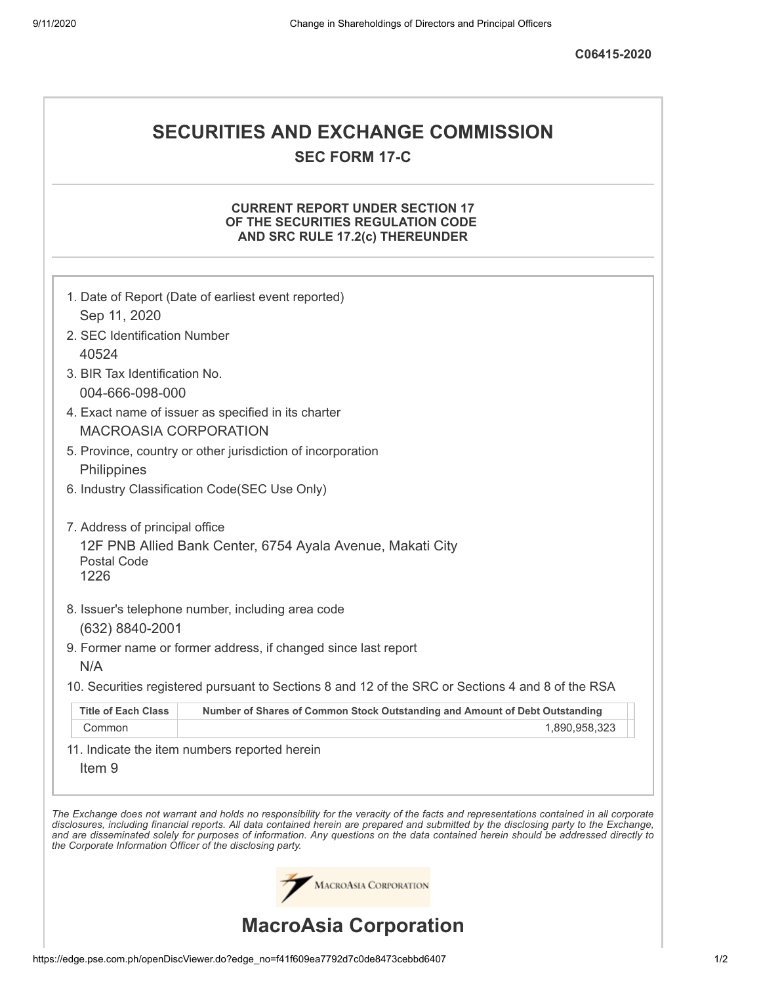# **SECURITIES AND EXCHANGE COMMISSION SEC FORM 17-C**

## **CURRENT REPORT UNDER SECTION 17 OF THE SECURITIES REGULATION CODE AND SRC RULE 17.2(c) THEREUNDER**

|                                                                                     | 1. Date of Report (Date of earliest event reported)                                                                                                                                                                                                                                                                                                                                                                      |  |  |  |  |
|-------------------------------------------------------------------------------------|--------------------------------------------------------------------------------------------------------------------------------------------------------------------------------------------------------------------------------------------------------------------------------------------------------------------------------------------------------------------------------------------------------------------------|--|--|--|--|
| Sep 11, 2020                                                                        |                                                                                                                                                                                                                                                                                                                                                                                                                          |  |  |  |  |
| 2. SEC Identification Number                                                        |                                                                                                                                                                                                                                                                                                                                                                                                                          |  |  |  |  |
| 40524                                                                               |                                                                                                                                                                                                                                                                                                                                                                                                                          |  |  |  |  |
| 3. BIR Tax Identification No.                                                       |                                                                                                                                                                                                                                                                                                                                                                                                                          |  |  |  |  |
| 004-666-098-000                                                                     |                                                                                                                                                                                                                                                                                                                                                                                                                          |  |  |  |  |
| 4. Exact name of issuer as specified in its charter<br><b>MACROASIA CORPORATION</b> |                                                                                                                                                                                                                                                                                                                                                                                                                          |  |  |  |  |
|                                                                                     | 5. Province, country or other jurisdiction of incorporation                                                                                                                                                                                                                                                                                                                                                              |  |  |  |  |
| Philippines                                                                         |                                                                                                                                                                                                                                                                                                                                                                                                                          |  |  |  |  |
| 6. Industry Classification Code(SEC Use Only)                                       |                                                                                                                                                                                                                                                                                                                                                                                                                          |  |  |  |  |
| 7. Address of principal office<br><b>Postal Code</b><br>1226                        | 12F PNB Allied Bank Center, 6754 Ayala Avenue, Makati City                                                                                                                                                                                                                                                                                                                                                               |  |  |  |  |
| (632) 8840-2001<br>N/A                                                              | 8. Issuer's telephone number, including area code<br>9. Former name or former address, if changed since last report                                                                                                                                                                                                                                                                                                      |  |  |  |  |
|                                                                                     | 10. Securities registered pursuant to Sections 8 and 12 of the SRC or Sections 4 and 8 of the RSA                                                                                                                                                                                                                                                                                                                        |  |  |  |  |
| <b>Title of Each Class</b>                                                          | Number of Shares of Common Stock Outstanding and Amount of Debt Outstanding                                                                                                                                                                                                                                                                                                                                              |  |  |  |  |
| Common                                                                              | 1,890,958,323                                                                                                                                                                                                                                                                                                                                                                                                            |  |  |  |  |
| Item <sub>9</sub>                                                                   | 11. Indicate the item numbers reported herein                                                                                                                                                                                                                                                                                                                                                                            |  |  |  |  |
| the Corporate Information Officer of the disclosing party.                          | The Exchange does not warrant and holds no responsibility for the veracity of the facts and representations contained in all corporate<br>disclosures, including financial reports. All data contained herein are prepared and submitted by the disclosing party to the Exchange,<br>and are disseminated solely for purposes of information. Any questions on the data contained herein should be addressed directly to |  |  |  |  |
|                                                                                     | MACROASIA CORPORATION                                                                                                                                                                                                                                                                                                                                                                                                    |  |  |  |  |
| <b>MacroAsia Corporation</b>                                                        |                                                                                                                                                                                                                                                                                                                                                                                                                          |  |  |  |  |